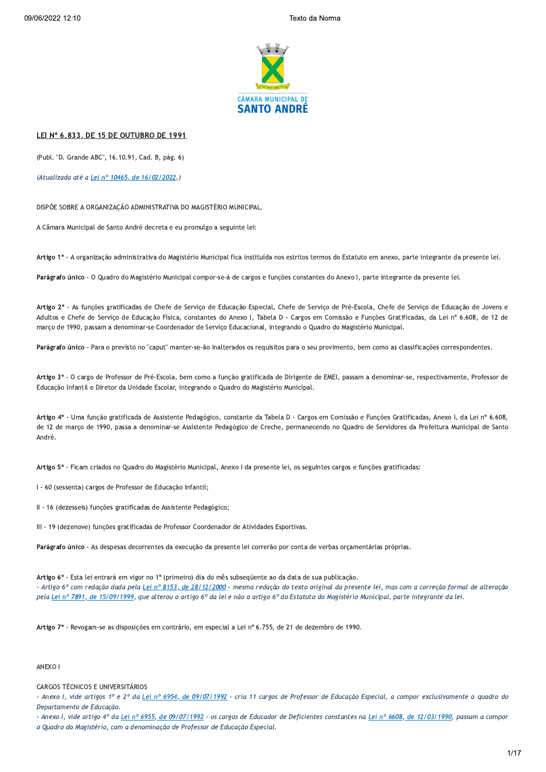

# LEI Nº 6.833, DE 15 DE OUTUBRO DE 1991

(Publ. "D. Grande ABC", 16.10.91, Cad. B. pág. 6)

(Atualizada até a Lei nº 10465, de 16/02/2022.)

DISPÕE SOBRE A ORGANIZACÃO ADMINISTRATIVA DO MAGISTÉRIO MUNICIPAL.

A Câmara Municipal de Santo André decreta e eu promulgo a seguinte lei:

Artigo 1º - A organização administrativa do Magistério Municipal fica instituída nos estritos termos do Estatuto em anexo, parte integrante da presente lei.

Parágrafo único - O Quadro do Magistério Municipal compor-se-á de cargos e funções constantes do Anexo I, parte integrante da presente lei.

Artigo 2º - As funções gratificadas de Chefe de Serviço de Educação Especial, Chefe de Serviço de Pré-Escola, Chefe de Serviço de Educação de Jovens e Adultos e Chefe de Servico de Educação Física, constantes do Anexo I, Tabela D - Cargos em Comissão e Funções Gratificadas, da Lei nº 6.608, de 12 de março de 1990, passam a denominar-se Coordenador de Serviço Educacional, integrando o Quadro do Magistério Municipal.

Parágrafo único - Para o previsto no "caput" manter-se-ão inalterados os requisitos para o seu provimento, bem como as classificações correspondentes.

Artigo 3º - O cargo de Professor de Pré-Escola, bem como a função gratificada de Dirigente de EMEI, passam a denominar-se, respectivamente, Professor de Educação Infantil e Diretor da Unidade Escolar, integrando o Quadro do Magistério Municipal.

Artigo 4º - Uma função gratificada de Assistente Pedagógico, constante da Tabela D - Cargos em Comissão e Funções Gratificadas, Anexo I, da Lei nº 6.608, de 12 de março de 1990, passa a denominar-se Assistente Pedagógico de Creche, permanecendo no Quadro de Servidores da Prefeitura Municipal de Santo André.

Artigo 5º - Ficam criados no Quadro do Magistério Municipal, Anexo I da presente lei, os seguintes cargos e funções gratificadas:

I - 60 (sessenta) cargos de Professor de Educação Infantil;

II - 16 (dezesseis) funções gratificadas de Assistente Pedagógico;

III - 19 (dezenove) funções gratificadas de Professor Coordenador de Atividades Esportivas.

Parágrafo único - As despesas decorrentes da execução da presente lei correrão por conta de verbas orçamentárias próprias.

Artigo 6º - Esta lei entrará em vigor no 1º (primeiro) dia do mês subseqüente ao da data de sua publicação.

- Artigo 6º com redação dada pela Lei nº 8153, de 28/12/2000 - mesma redação do texto original da presente lei, mas com a correção formal de alteração pela Lei nº 7891, de 15/09/1999, que alterou o artigo 6º da lei e não o artigo 6º do Estatuto do Magistério Municipal, parte integrante da lei.

Artigo 7º - Revogam-se as disposições em contrário, em especial a Lei nº 6.755, de 21 de dezembro de 1990.

# ANEXO I

#### **CARGOS TÉCNICOS E UNIVERSITÁRIOS**

- Anexo I, vide artigos 1º e 2º da Lei nº 6954, de 09/07/1992 - cria 11 cargos de Professor de Educação Especial, a compor exclusivamente o quadro do Departamento de Educação.

- Anexo I, vide artigo 4º da Lei nº 6955, de 09/07/1992 - os cargos de Educador de Deficientes constantes na Lei nº 6608, de 12/03/1990, passam a compor

o Quadro do Magistério, com a denominação de Professor de Educação Especial.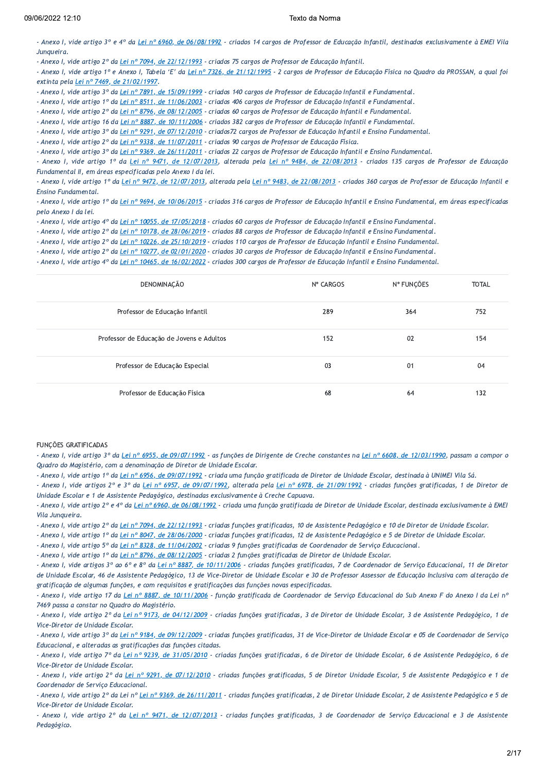- Anexo I, vide artigo 3º e 4º da Lei nº 6960, de 06/08/1992 - criados 14 cargos de Professor de Educação Infantil, destinados exclusivamente à EMEI Vila Junaueira.

- Anexo I, vide artigo 2º da Lei nº 7094, de 22/12/1993 - criados 75 cargos de Professor de Educação Infantil.

- Anexo I, vide artigo 1º e Anexo I, Tabela 'E' da Lei nº 7326, de 21/12/1995 - 2 cargos de Professor de Educação Física no Quadro da PROSSAN, a qual foi extinta pela Lei nº 7469, de 21/02/1997.

- Anexo I, vide artigo 3º da Lei nº 7891, de 15/09/1999 - criados 140 cargos de Professor de Educação Infantil e Fundamental.

- Anexo I, vide artigo 1º da Lei nº 8511, de 11/06/2003 - criados 406 cargos de Professor de Educação Infantil e Fundamental.

- Anexo I, vide artigo 2º da Lei nº 8796, de 08/12/2005 - criados 60 cargos de Professor de Educação Infantil e Fundamental.

- Anexo I, vide artigo 16 da Lei nº 8887, de 10/11/2006 - criados 382 cargos de Professor de Educação Infantil e Fundamental.

- Anexo I, vide artigo 3º da Lei nº 9291, de 07/12/2010 - criados72 cargos de Professor de Educação Infantil e Ensino Fundamental.

- Anexo I, vide artigo 2º da Lei nº 9338, de 11/07/2011 - criados 90 cargos de Professor de Educação Física.

- Anexo I, vide artigo 3º da Lei nº 9369, de 26/11/2011 - criados 22 cargos de Professor de Educação Infantil e Ensino Fundamental.

- Anexo I, vide artigo 1º da Lei nº 9471, de 12/07/2013, alterada pela Lei nº 9484, de 22/08/2013 - criados 135 cargos de Professor de Educação Fundamental II, em áreas especificadas pelo Anexo I da lei.

- Anexo I, vide artigo 1º da Lei nº 9472, de 12/07/2013, alterada pela Lei nº 9483, de 22/08/2013 - criados 360 cargos de Professor de Educação Infantil e Ensino Fundamental.

- Anexo I, vide artigo 1º da Lei nº 9694, de 10/06/2015 - criados 316 cargos de Professor de Educação Infantil e Ensino Fundamental, em áreas especificadas pelo Anexo I da lei.

- Anexo I, vide artigo 4º da Lei nº 10055, de 17/05/2018 - criados 60 cargos de Professor de Educação Infantil e Ensino Fundamental.

- Anexo I, vide artigo 2º da Lei nº 10178, de 28/06/2019 - criados 88 cargos de Professor de Educação Infantil e Ensino Fundamental.

- Anexo I, vide artigo 2º da Lei nº 10226, de 25/10/2019 - criados 110 cargos de Professor de Educação Infantil e Ensino Fundamental.

- Anexo I, vide artigo 2º da Lei nº 10277, de 02/01/2020 - criados 30 cargos de Professor de Educação Infantil e Ensino Fundamental.

- Anexo I, vide artigo 4º da Lei nº 10465, de 16/02/2022 - criados 300 cargos de Professor de Educação Infantil e Ensino Fundamental.

| DENOMINAÇÃO                               | Nº CARGOS | N° FUNÇÕES | <b>TOTAL</b> |
|-------------------------------------------|-----------|------------|--------------|
| Professor de Educação Infantil            | 289       | 364        | 752          |
| Professor de Educação de Jovens e Adultos | 152       | 02         | 154          |
| Professor de Educação Especial            | 03        | 01         | 04           |
| Professor de Educação Física              | 68        | 64         | 132          |

# **FUNCÕES GRATIFICADAS**

- Anexo I, vide artigo 3º da Lei nº 6955, de 09/07/1992 - as funções de Dirigente de Creche constantes na Lei nº 6608, de 12/03/1990, passam a compor o Quadro do Magistério, com a denominação de Diretor de Unidade Escolar.

- Anexo I, vide artigo 1º da Lei nº 6956, de 09/07/1992 - criada uma função gratificada de Diretor de Unidade Escolar, destinada à UNIMEI Vila Sá.

- Anexo I, vide artigos 2º e 3º da Lei nº 6957, de 09/07/1992, alterada pela Lei nº 6978, de 21/09/1992 - criadas funções gratificadas, 1 de Diretor de Unidade Escolar e 1 de Assistente Pedagógico, destinadas exclusivamente à Creche Capuava.

- Anexo I, vide artigo 2º e 4º da Lei nº 6960, de 06/08/1992 - criada uma função gratificada de Diretor de Unidade Escolar, destinada exclusivamente à EMEI Vila Jungueira.

- Anexo I, vide artigo 2º da Lei nº 7094, de 22/12/1993 - criadas funções gratificadas, 10 de Assistente Pedagógico e 10 de Diretor de Unidade Escolar.

- Anexo I, vide artigo 1º da Lei nº 8047, de 28/06/2000 - criadas funções gratificadas, 12 de Assistente Pedagógico e 5 de Diretor de Unidade Escolar.

- Anexo I, vide artigo 5º da Lei nº 8328, de 11/04/2002 - criadas 9 funções gratificadas de Coordenador de Serviço Educacional.

- Anexo I, vide artigo 1º da Lei nº 8796, de 08/12/2005 - criadas 2 funções gratificadas de Diretor de Unidade Escolar.

- Anexo I, vide artigos 3º ao 6º e 8º da Lei nº 8887, de 10/11/2006 - criadas funções gratificadas, 7 de Coordenador de Serviço Educacional, 11 de Diretor de Unidade Escolar, 46 de Assistente Pedagógico, 13 de Vice-Diretor de Unidade Escolar e 30 de Professor Assessor de Educação Inclusiva com alteração de gratificação de algumas funções, e com requisitos e gratificações das funções novas especificadas.

- Anexo I, vide artigo 17 da Lei nº 8887, de 10/11/2006 - função gratificada de Coordenador de Serviço Educacional do Sub Anexo F do Anexo I da Lei nº 7469 passa a constar no Quadro do Magistério.

- Anexo I, vide artigo 2º da Lei nº 9173, de 04/12/2009 - criadas funções gratificadas, 3 de Diretor de Unidade Escolar, 3 de Assistente Pedagógico, 1 de Vice-Diretor de Unidade Escolar.

- Anexo I, vide artigo 3º da Lei nº 9184, de 09/12/2009 - criadas funções gratificadas, 31 de Vice-Diretor de Unidade Escolar e 05 de Coordenador de Serviço Educacional, e alteradas as gratificações das funções citadas.

- Anexo I, vide artigo 7º da Lei nº 9239, de 31/05/2010 - criadas funções gratificadas, 6 de Diretor de Unidade Escolar, 6 de Assistente Pedagógico, 6 de Vice-Diretor de Unidade Escolar.

- Anexo I, vide artigo 2º da Lei nº 9291, de 07/12/2010 - criadas funções gratificadas, 5 de Diretor Unidade Escolar, 5 de Assistente Pedagógico e 1 de Coordenador de Servico Educacional.

- Anexo I, vide artigo 2º da Lei nº Lei nº 9369, de 26/11/2011 - criadas funções gratificadas, 2 de Diretor Unidade Escolar, 2 de Assistente Pedagógico e 5 de Vice-Diretor de Unidade Escolar.

- Anexo I, vide artigo 2º da Lei nº 9471, de 12/07/2013 - criadas funções gratificadas, 3 de Coordenador de Serviço Educacional e 3 de Assistente Pedagógico.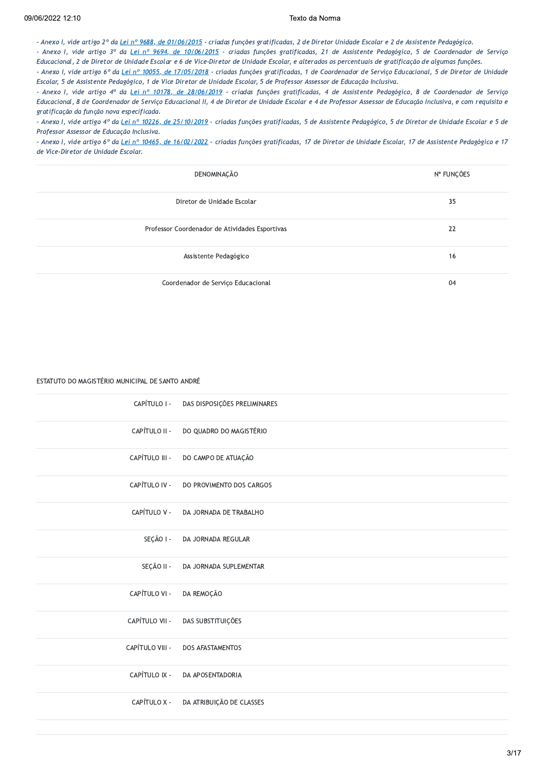# 09/06/2022 12:10

# Texto da Norma

- Anexo I, vide artigo 2º da Lei nº 9688, de 01/06/2015 - criadas funções gratificadas, 2 de Diretor Unidade Escolar e 2 de Assistente Pedagógico.

- Anexo I, vide artigo 3º da Lei nº 9694, de 10/06/2015 - criadas funcões gratificadas, 21 de Assistente Pedagógico, 5 de Coordenador de Servico Educacional, 2 de Diretor de Unidade Escolar e 6 de Vice-Diretor de Unidade Escolar, e alterados os percentuais de gratificação de algumas funções.

- Anexo I, vide artigo 6° da Lei nº 10055, de 17/05/2018 - criadas funções gratificadas, 1 de Coordenador de Serviço Educacional, 5 de Diretor de Unidade Escolar, 5 de Assistente Pedagógico, 1 de Vice Diretor de Unidade Escolar, 5 de Professor Assessor de Educação Inclusiva.

- Anexo I, vide artigo 4º da Lei nº 10178, de 28/06/2019 - criadas funções gratificadas, 4 de Assistente Pedagógico, 8 de Coordenador de Serviço Educacional, 8 de Coordenador de Serviço Educacional II, 4 de Diretor de Unidade Escolar e 4 de Professor Assessor de Educação Inclusiva, e com requisito e gratificação da função nova especificada.

- Anexo I, vide artigo 4º da Lei nº 10226, de 25/10/2019 - criadas funções gratificadas, 5 de Assistente Pedagógico, 5 de Diretor de Unidade Escolar e 5 de Professor Assessor de Educação Inclusiva.

- Anexo I, vide artigo 6° da Lei nº 10465, de 16/02/2022 - criadas funções gratificadas, 17 de Diretor de Unidade Escolar, 17 de Assistente Pedagógico e 17 de Vice-Diretor de Unidade Escolar.

| DENOMINAÇÃO                                    | N° FUNÇÕES |
|------------------------------------------------|------------|
| Diretor de Unidade Escolar                     | 35         |
| Professor Coordenador de Atividades Esportivas | 22         |
| Assistente Pedagógico                          | 16         |
| Coordenador de Serviço Educacional             | 04         |

# ESTATUTO DO MAGISTÉRIO MUNICIPAL DE SANTO ANDRÉ

| CAPÍTULO I -    | DAS DISPOSIÇÕES PRELIMINARES |
|-----------------|------------------------------|
| CAPÍTULO II -   | DO QUADRO DO MAGISTÉRIO      |
| CAPÍTULO III -  | DO CAMPO DE ATUAÇÃO          |
| CAPÍTULO IV -   | DO PROVIMENTO DOS CARGOS     |
| CAPÍTULO V -    | DA JORNADA DE TRABALHO       |
| SEÇÃO I -       | DA JORNADA REGULAR           |
| SEÇÃO II -      | DA JORNADA SUPLEMENTAR       |
| CAPÍTULO VI -   | DA REMOÇÃO                   |
| CAPÍTULO VII -  | DAS SUBSTITUIÇÕES            |
| CAPÍTULO VIII - | DOS AFASTAMENTOS             |
| CAPÍTULO IX -   | DA APOSENTADORIA             |
| CAPÍTULO X -    | DA ATRIBUIÇÃO DE CLASSES     |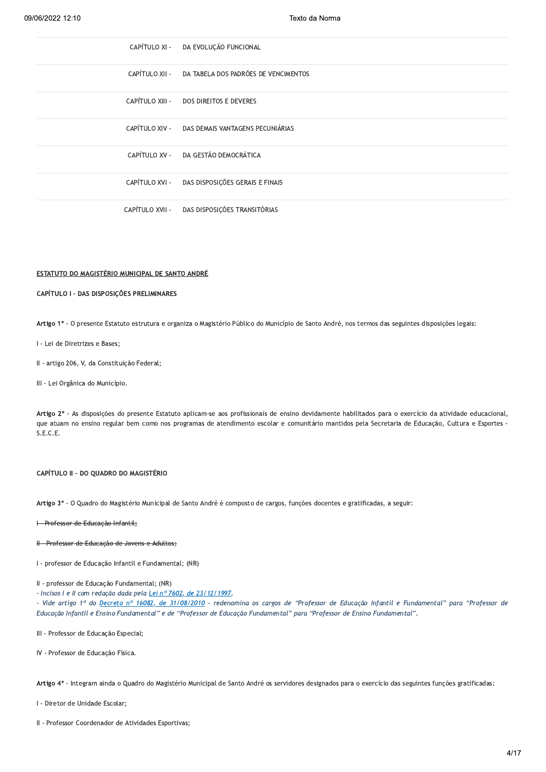| 06/2022 12:10 | Texto da Norma                                      |  |
|---------------|-----------------------------------------------------|--|
|               | CAPÍTULO XI - DA EVOLUÇÃO FUNCIONAL                 |  |
|               | CAPÍTULO XII - DA TABELA DOS PADRÕES DE VENCIMENTOS |  |
|               | CAPÍTULO XIII - DOS DIREITOS E DEVERES              |  |
|               | CAPÍTULO XIV - DAS DEMAIS VANTAGENS PECUNIÁRIAS     |  |
|               | CAPÍTULO XV - DA GESTÃO DEMOCRÁTICA                 |  |
|               | CAPÍTULO XVI - DAS DISPOSIÇÕES GERAIS E FINAIS      |  |
|               | CAPÍTULO XVII - DAS DISPOSIÇÕES TRANSITÓRIAS        |  |

#### ESTATUTO DO MAGISTÉRIO MUNICIPAL DE SANTO ANDRÉ

# CAPÍTULO I - DAS DISPOSIÇÕES PRELIMINARES CAPÍTULO I - DAS DISPOSIÇÕES PRELIMINAR<br>Artigo 1º - O presente Estatuto estrutura e<br>I - Lei de Diretrizes e Bases;<br>II - artigo 206, V, da Constituição Federal;<br>III - Lei Orgânica do Município.

Artigo 1º - O presente Estatuto estrutura e organiza o Magistério Público do Município de Santo André, nos termos das seguintes disposições legais:

II - artigo 206, V, da Constituição Federal;

III - Lei Orgânica do Município.

Artigo 2º - As disposições do presente Estatuto aplicam-se aos profissionais de ensino devidamente habilitados para o exercício da atividade educacional, que atuam no ensino regular bem como nos programas de atendimento escolar e comunitário mantidos pela Secretaria de Educação, Cultura e Esportes - $S.E.C.E.$ 

#### CAPÍTULO II - DO QUADRO DO MAGISTÉRIO

Artigo 3º - O Quadro do Magistério Municipal de Santo André é composto de cargos, funções docentes e gratificadas, a seguir:

I - Professor de Educação Infantil;

#### H Professor de Educação de Jovens e Adultos;

I - professor de Educação Infantil e Fundamental; (NR)

#### II - professor de Educação Fundamental; (NR)

- Incisos I e II com redação dada pela Lei nº 7602, de 23/12/1997.

- Vide artigo 1º do Decreto nº 16082, de 31/08/2010 - redenomina os cargos de "Professor de Educação Infantil e Fundamental" para "Professor de Educação Infantil e Ensino Fundamental" e de "Professor de Educação Fundamental" para "Professor de Ensino Fundamental".

III - Professor de Educação Especial;

IV - Professor de Educação Física.

Artigo 4º - Integram ainda o Quadro do Magistério Municipal de Santo André os servidores designados para o exercício das seguintes funções gratificadas:

I - Diretor de Unidade Escolar;

II - Professor Coordenador de Atividades Esportivas;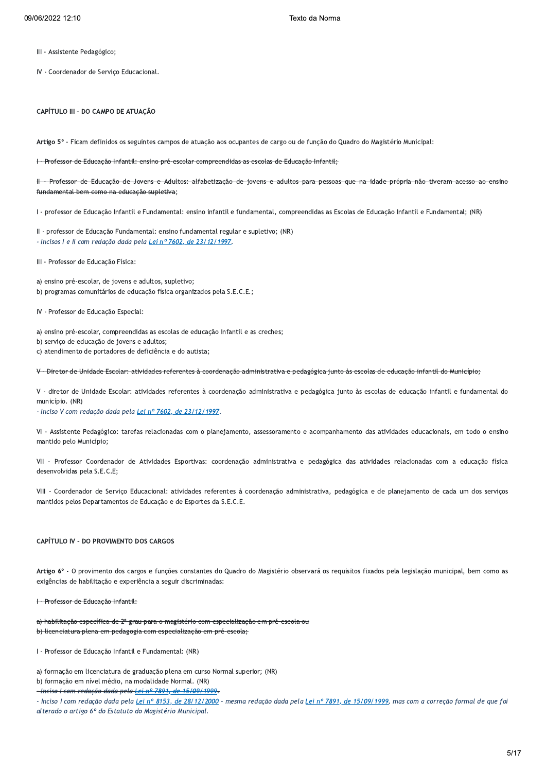- III Assistente Pedagógico;
- IV Coordenador de Serviço Educacional.

# CAPÍTULO III - DO CAMPO DE ATUAÇÃO

Artigo 5º - Ficam definidos os seguintes campos de atuação aos ocupantes de cargo ou de função do Quadro do Magistério Municipal:

I - Professor de Educação Infantil: ensino pré-escolar compreendidas as escolas de Educação Infantil;

Professor de Educação de Jovens e Adultos: alfabetização de jovens e adultos para pessoas que na idade própria não tiveram acesso ao ensine ₩ fundamental bem como na educação supletiva:

I - professor de Educação Infantil e Fundamental: ensino infantil e fundamental, compreendidas as Escolas de Educação Infantil e Fundamental; (NR)

II - professor de Educação Fundamental: ensino fundamental regular e supletivo; (NR) - Incisos I e II com redação dada pela Lei nº 7602, de 23/12/1997.

III - Professor de Educação Física:

a) ensino pré-escolar, de jovens e adultos, supletivo; b) programas comunitários de educação física organizados pela S.E.C.E.;

IV - Professor de Educação Especial:

- a) ensino pré-escolar, compreendidas as escolas de educação infantil e as creches;
- b) serviço de educação de jovens e adultos;
- c) atendimento de portadores de deficiência e do autista;

V - Diretor de Unidade Escolar: atividades referentes à coordenação administrativa e pedagógica junto às escolas de educação infantil do Município;

V - diretor de Unidade Escolar: atividades referentes à coordenação administrativa e pedagógica junto às escolas de educação infantil e fundamental do município. (NR)

- Inciso V com redação dada pela Lei nº 7602, de 23/12/1997.

VI - Assistente Pedagógico: tarefas relacionadas com o planejamento, assessoramento e acompanhamento das atividades educacionais, em todo o ensino mantido pelo Município;

VII - Professor Coordenador de Atividades Esportivas: coordenação administrativa e pedagógica das atividades relacionadas com a educação física desenvolvidas pela S.E.C.E;

VIII - Coordenador de Serviço Educacional: atividades referentes à coordenação administrativa, pedagógica e de planejamento de cada um dos serviços mantidos pelos Departamentos de Educação e de Esportes da S.E.C.E.

# CAPÍTULO IV - DO PROVIMENTO DOS CARGOS

Artigo 6º - O provimento dos cargos e funções constantes do Quadro do Magistério observará os requisitos fixados pela legislação municipal, bem como as exigências de habilitação e experiência a seguir discriminadas:

I - Professor de Educação Infantil:

a) habilitação específica de 2º grau para o magistério com especialização em pré escola ou b) licenciatura plena em pedagogia com especialização em pré escola;

I - Professor de Educação Infantil e Fundamental: (NR)

a) formação em licenciatura de graduação plena em curso Normal superior; (NR)

- b) formação em nível médio, na modalidade Normal. (NR)
- Inciso I com redação dada pela Lei nº 7891, de 15/09/1999.

- Inciso I com redação dada pela Lei nº 8153, de 28/12/2000 - mesma redação dada pela Lei nº 7891, de 15/09/1999, mas com a correção formal de que foi alterado o artigo 6º do Estatuto do Magistério Municipal.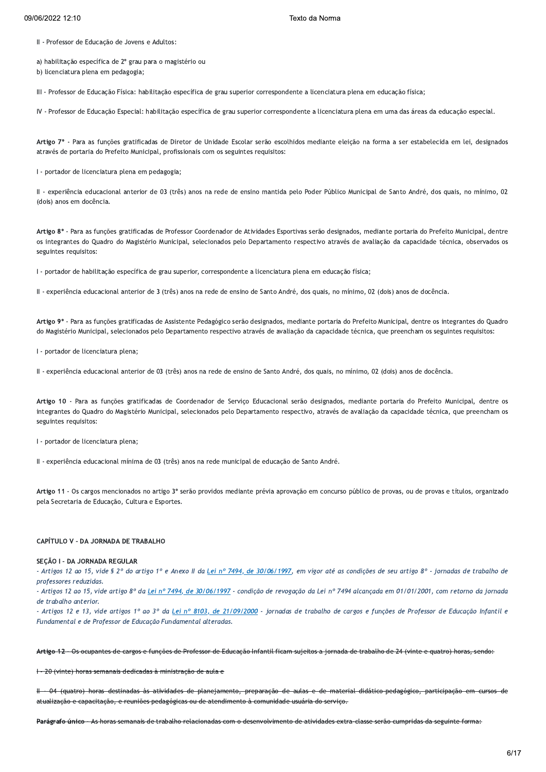06/2022 12:10<br>
II - Professor de Educação de Jovens e Adultos:<br>
a) habilitação específica de 2º grau para o magistério ou<br>
b) licenciatura plena em pedagogia;<br>
III - Professor de Educação Física: habilitação específica de 09/06/2022 12:10<br>
II - Professor de Educação de Jovens e Adultos:<br>
a) habilitação específica de 2º grau para o magistério ou<br>
b) licenciatura plena em pedagogia;<br>
III - Professor de Educação Física: habilitação específica 09/06/2022 12:10<br>
II - Professor de Educação de Jovens e<br>
a) habilitação específica de 2º grau par<br>
b) licenciatura plena em pedagogia;<br>
III - Professor de Educação Física: habil<br>
IV - Professor de Educação Especial: ha

II - Professor de Educação de Jovens e Adultos:<br>a) habilitação específica de 2º grau para o magistério ou<br>b) licenciatura plena em pedagogia;<br>III - Professor de Educação Física: habilitação específica de grau superior corr a) habilitação específica de 2º grau para o magistério ou<br>b) licenciatura plena em pedagogia;<br>III - Professor de Educação Física: habilitação específica de grau superior correspondente a licenciatura plena em educação físi III - Professor de Educação Física: habilitação específica de grau superior correspondente a licenciatura plena em educação física;<br>IV - Professor de Educação Especial: habilitação específica de grau superior correspondent III - Professor de Educação Física: habilitação específica de grau superior correspondently - Professor de Educação Especial: habilitação específica de grau superior correspondently - Professor de Educação Especial: habili IV - Professor de Educação Especial: habilitação esp<br>
Artigo 7º - Para as funções gratificadas de Direto<br>
através de portaria do Prefeito Municipal, profissio<br>
1 - portador de licenciatura plena em pedagogia;<br>
II - experiê

(dois) anos em docência.

Artigo 7° - Para as funções gratificadas de Diretor de Unidade Escolar serão escolhidos mediante eleição na forma a ser estabelecida em lei, designados<br>através de portaria do Prefeito Municipal, profissionais com os seguin I - portador de licenciatura plena em pedagogia;<br>II - experiência educacional anterior de 03 (três) anos na rede de ensino mantida pelo Poder Público Municipal de Santo André, dos quais, no mínimo, 02<br>(dois) anos em docênc II - experiência educacional anterior de 03 (três) anos na rede de ensino mantida pelo Poder Público Municipal de Santo André, dos quais, no mínimo, 02<br>(dois) anos em docência.<br>Artigo 8° - Para as funções gratificadas de P seguintes requisitos: Artigo 8° - Para as funções gratificadas de Professor Coordenador de Atividades Esportivas serão designados, me<br>os integrantes do Quadro do Magistério Municipal, selecionados pelo Departamento respectivo através de aval<br>se Artigo 8° - Para as funções gratificadas de Professor Coordenador de Atividades Esportivas serão designados, mediante portaria do Prefeito<br>os integrantes do Quadro do Magistério Municipal, selecionados pelo Departamento re

I - portador de habilitação específica de grau superior, correspondente a licenciatura plena em educação física;<br>II - experiência educacional anterior de 3 (três) anos na rede de ensino de Santo André, dos quais, no mínimo I - portador de habilitação específica de grau superior, correspondente a licenciatura plena em educação física;<br>II - experiência educacional anterior de 3 (três) anos na rede de ensino de Santo André, dos quais, no mínimo

II - experiência educacional anterior de 3 (três) and<br>
Artigo 9º - Para as funções gratificadas de Assisten<br>
do Magistério Municipal, selecionados pelo Departa<br>
I - portador de licenciatura plena;<br>
II - experiência educaci Artigo 9º - Para as funções gratificadas de Assistente Pedagógico serão designados, mediante portaria do Prefeito Municipal, dentre os integ<br>do Magistério Municipal, selecionados pelo Departamento respectivo através de ava I - experiência educacional anterior de 03 (três) anos na rede de ensino de Santo André, dos quais, no mínimo, 02 (dois) anos de docência.<br>Artigo 10 - Para as funções gratificadas de Coordenador de Serviço Educacional serã I - experiência educacional anterior de 03 (três) anos na rede de ensino de Santo André, dos quais, no mínimo, 02 (dois) anos de docência.<br>Artigo 10 - Para as funções gratificadas de Coordenador de Serviço Educacional serã seguintes requisitos: Artigo 10 - Para as funções gratificadas de Coor<br>integrantes do Quadro do Magistério Municipal, sel<br>seguintes requisitos:<br><br><br><br><br><br><br><br><br>I - experiência educacional mínima de 03 (três) an<br>Artigo 11 - Os cargos mencionados no arti Artigo 10 - Para as funções gratificadas de Coordenador de Serviço Educacional serão designados<br>integrantes do Quadro do Magistério Municipal, selecionados pelo Departamento respectivo, através c<br>seguintes requisitos:<br>|- p

I - portador de licenciatura plena;<br>II - experiência educacional mínima de 03 (três) anos na rede municipal de educação de Santo André.<br>Artigo 11 - Os cargos mencionados no artigo 3º serão providos mediante prévia aprovaçã l - portador de licenciatura plena;<br>
II - experiência educacional mínima de 03 (três) anos r<br> **Artigo 11** - Os cargos mencionados no artigo 3º serão p<br>
pela Secretaria de Educação, Cultura e Esportes.<br> **CAPÍTULO V - DA JOR** 

# CAPÍTULO V - DA JORNADA DE TRABALHO

#### SECÃO I - DA JORNADA REGULAR

- Artigos 12 ao 15, vide § 2º do artigo 1º e Anexo II da Lei nº 7494, de 30/06/1997, em vigor até as condições de seu artigo 8º - jornadas de trabalho de professores reduzidas.

- Artigos 12 ao 15, vide artigo 8º da Lei nº 7494, de 30/06/1997 - condição de revogação da Lei nº 7494 alcançada em 01/01/2001, com retorno da jornada de trabalho anterior.

- Artigos 12 e 13, vide artigos 1º ao 3º da Lei nº 8103, de 21/09/2000 - jornadas de trabalho de cargos e funções de Professor de Educação Infantil e Fundamental e de Professor de Educação Fundamental alteradas.

: Artigos 12 ao 15, vide artigo 8º da <u>Lei nº 7494, de 30/06/1997</u> - condição de revogação da Lei nº 7494 alcançada em 01/01/2001, com retorno da jorn<br>de trabalho anterior.<br>- Artigos 12 e 13, vide artigos 1º ao 3º da <u>Lei </u> - Artigos 12 e 13, vide artigos 1º ao 3º da <u>Lei nº 8103, de 21/09/2000</u> - jorne<br>Fundamental e de Professor de Educação Fundamental alteradas.<br>Artigo 12 - Os ocupantes de cargos e funções de Professor de Educação Infantil Artigo 12 – Os ocupantes de cargos e funções de Professor de Educação Infantil ficam sujeitos a jornada de trabalho de 24 (vinte e quatro) horas, sendo:<br>1 – 20 (vinte) horas semanais dedicadas à ministração de aula e<br>1 – 0 Artigo 12 – Os ocupantes de cargos e funções de Professor de Educação Infantil ficam sujeitos a jornada e<br>
1 – 20 (vinte) horas semanais dedicadas à ministração de aula e<br>
1 – 04 (quatro) horas destinadas às atividades de | −20 (vinte) horas semanais dedicadas à ministração de aula e<br>|| − 04 (quatro) horas destinadas às atividades de planejamento, preparação de aulas e de material didático-pedagógico, participação em cu<br>atualização e capac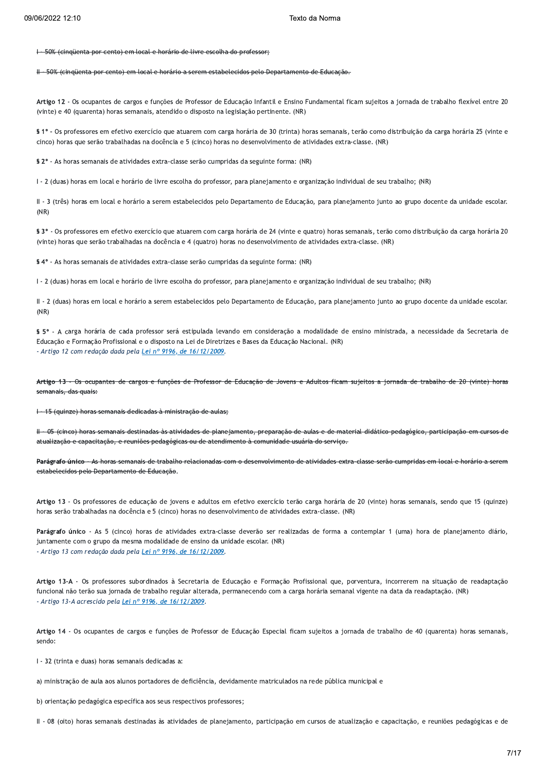1 50% (cinquenta por cento) em local e horário de livre escolha do professo

#### <del>. 50% (cinqüenta por cento) em local e horário a serem estabelecidos pelo Departamento de Educação.</del>  $#$

Artigo 12 - Os ocupantes de cargos e funções de Professor de Educação Infantil e Ensino Fundamental ficam sujeitos a jornada de trabalho flexível entre 20 (vinte) e 40 (quarenta) horas semanais, atendido o disposto na legislação pertinente. (NR)

§ 1º - Os professores em efetivo exercício que atuarem com carga horária de 30 (trinta) horas semanais, terão como distribuição da carga horária 25 (vinte e cinco) horas que serão trabalhadas na docência e 5 (cinco) horas no desenvolvimento de atividades extra-classe. (NR)

§ 2º - As horas semanais de atividades extra-classe serão cumpridas da seguinte forma: (NR)

I - 2 (duas) horas em local e horário de livre escolha do professor, para planejamento e organização individual de seu trabalho; (NR)

II - 3 (três) horas em local e horário a serem estabelecidos pelo Departamento de Educação, para planejamento junto ao grupo docente da unidade escolar.  $(NR)$ 

§ 3º - Os professores em efetivo exercício que atuarem com carga horária de 24 (vinte e quatro) horas semanais, terão como distribuição da carga horária 20 (vinte) horas que serão trabalhadas na docência e 4 (quatro) horas no desenvolvimento de atividades extra-classe. (NR)

§ 4º - As horas semanais de atividades extra-classe serão cumpridas da seguinte forma: (NR)

I - 2 (duas) horas em local e horário de livre escolha do professor, para planejamento e organização individual de seu trabalho; (NR)

II - 2 (duas) horas em local e horário a serem estabelecidos pelo Departamento de Educação, para planejamento junto ao grupo docente da unidade escolar.  $(NR)$ 

§ 5º - A carga horária de cada professor será estipulada levando em consideração a modalidade de ensino ministrada, a necessidade da Secretaria de Educação e Formação Profissional e o disposto na Lei de Diretrizes e Bases da Educação Nacional. (NR) - Artigo 12 com redação dada pela Lei nº 9196, de 16/12/2009.

Artigo 13 - Os ocupantes de cargos e funções de Professor de Educação de Jovens e Adultos ficam sujeitos a jornada de trabalho de 20 (vinte) horas semanais, das quais:

15 (quinze) horas semanais dedicadas à ministração de aulas;  $\leftarrow$ 

. <del>05 (cinco) horas semanais destinadas às atividades de planejamento, preparação de aulas e de material didático-pedagógico, participação em</del> atualização e capacitação, e reuniões pedagógicas ou de atendimento à comunidade usuária do serviço.

Parágrafo único - As horas semanais de trabalho relacionadas com o desenvolvimento de atividades extra-classe serão cumpridas em local e horário a serem estabelecidos pelo Departamento de Educação.

Artigo 13 - Os professores de educação de jovens e adultos em efetivo exercício terão carga horária de 20 (vinte) horas semanais, sendo que 15 (quinze) horas serão trabalhadas na docência e 5 (cinco) horas no desenvolvimento de atividades extra-classe. (NR)

Parágrafo único - As 5 (cinco) horas de atividades extra-classe deverão ser realizadas de forma a contemplar 1 (uma) hora de planejamento diário, juntamente com o grupo da mesma modalidade de ensino da unidade escolar. (NR) - Artigo 13 com redação dada pela Lei nº 9196, de 16/12/2009.

Artigo 13-A - Os professores subordinados à Secretaria de Educação e Formação Profissional que, porventura, incorrerem na situação de readaptação funcional não terão sua jornada de trabalho regular alterada, permanecendo com a carga horária semanal vigente na data da readaptação. (NR) - Artigo 13-A acrescido pela Lei nº 9196, de 16/12/2009

Artigo 14 - Os ocupantes de cargos e funções de Professor de Educação Especial ficam sujeitos a jornada de trabalho de 40 (quarenta) horas semanais, sendo:

I - 32 (trinta e duas) horas semanais dedicadas a:

a) ministração de aula aos alunos portadores de deficiência, devidamente matriculados na rede pública municipal e

b) orientação pedagógica específica aos seus respectivos professores;

II - 08 (oito) horas semanais destinadas às atividades de planejamento, participação em cursos de atualização e capacitação, e reuniões pedagógicas e de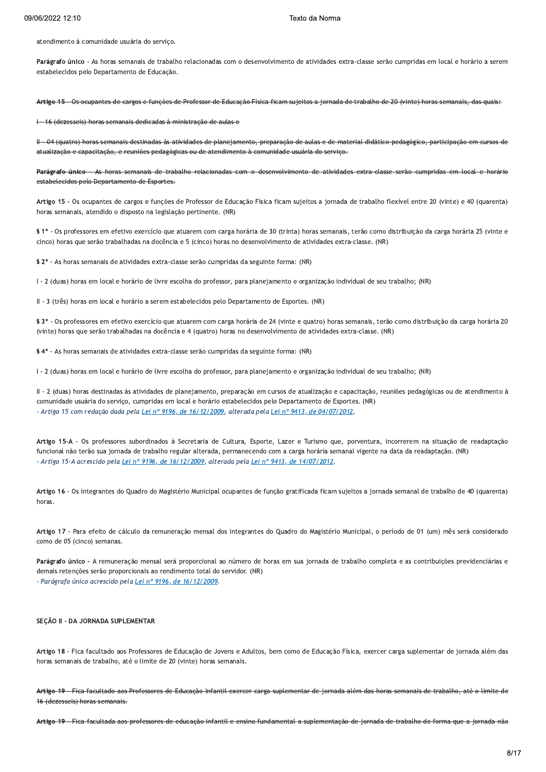atendimento à comunidade usuária do serviço.

Texto da Norma<br>
atendimento à comunidade usuária do serviço.<br>
Parágrafo único - As horas semanais de trabalho relacionadas com o desenvolvimento de atividades extra-classe serão cumpridas em local e horário a serem<br>
estabe estabelecidos pelo Departamento de Educação.

Artigo 15 - Os ocupantes de cargos e funções de Professor de Educação Física ficam sujeitos a jornada de trabalho de 20 (vinte) horas semanais, das quais:

16 (dezesseis) horas semanais dedicadas à ministração de aulas e

H - 04 (quatro) horas semanais destinadas às atividades de planejamento, preparação de aulas e de material didático-pedagógico, participação em cursos de atualização e capacitação, e reuniões pedagógicas ou de atendimento à comunidade usuária do serviço.

estabelecidos pelo Departamento de Esportes.

<del>1 - 16 (dezesseis) horas semanais dedicadas à ministração de aulas e<br>
11 - 04 (quatro) horas semanais destinadas às atividades de planejamento, preparação de aulas e de material didático pedagógico, participação em cursos</del> Artigo 15 - Os ocupantes de cargos e funções de Professor de Educação Física ficam sujeitos a jornada de trabalho flexível entre 20 (vinte) e 40 (quarenta) horas semanais, atendido o disposto na legislação pertinente. (NR)

§ 1º - Os professores em efetivo exercício que atuarem com carga horária de 30 (trinta) horas semanais, terão como distribuição da carga horária 25 (vinte e cinco) horas que serão trabalhadas na docência e 5 (cinco) horas no desenvolvimento de atividades extra-classe. (NR)

§ 2º - As horas semanais de atividades extra-classe serão cumpridas da seguinte forma: (NR)

I - 2 (duas) horas em local e horário de livre escolha do professor, para planejamento e organização individual de seu trabalho; (NR)

II - 3 (três) horas em local e horário a serem estabelecidos pelo Departamento de Esportes. (NR)

§ 3º - Os professores em efetivo exercício que atuarem com carga horária de 24 (vinte e quatro) horas semanais, terão como distribuição da carga horária 20 (vinte) horas que serão trabalhadas na docência e 4 (quatro) horas no desenvolvimento de atividades extra-classe. (NR)

§ 4º - As horas semanais de atividades extra-classe serão cumpridas da seguinte forma: (NR)

I - 2 (duas) horas em local e horário de livre escolha do professor, para planejamento e organização individual de seu trabalho; (NR)

II - 2 (duas) horas destinadas às atividades de planejamento, preparação em cursos de atualização e capacitação, reuniões pedagógicas ou de atendimento à comunidade usuária do serviço, cumpridas em local e horário estabelecidos pelo Departamento de Esportes. (NR) - Artigo 15 com redação dada pela Lei nº 9196, de 16/12/2009, alterada pela Lei nº 9413, de 04/07/2012.

Artigo 15-A - Os professores subordinados à Secretaria de Cultura, Esporte, Lazer e Turismo que, porventura, incorrerem na situação de readaptação funcional não terão sua jornada de trabalho regular alterada, permanecendo com a carga horária semanal vigente na data da readaptação. (NR) - Artigo 15-A acrescido pela Lei nº 9196, de 16/12/2009, alterada pela Lei nº 9413, de 14/07/2012.

Artigo 16 - Os integrantes do Quadro do Magistério Municipal ocupantes de função gratificada ficam sujeitos a jornada semanal de trabalho de 40 (quarenta) horas.

Artigo 17 - Para efeito de cálculo da remuneração mensal dos integrantes do Quadro do Magistério Municipal, o período de 01 (um) mês será considerado como de 05 (cinco) semanas.

horas.<br>Artigo 17 - Para efeito de cálculo da remuneração mensal dos integrantes do Quadro do Magistério Municipal, o período de 01 (um) mês será considerado<br>como de 05 (cinco) semanas.<br>Parágrafo único - A remuneração mensa demais retenções serão proporcionais ao rendimento total do servidor. (NR)

- Parágrafo único acrescido pela Lei nº 9196, de 16/12/2009.

# SECÃO II - DA JORNADA SUPLEMENTAR

Artigo 18 - Fica facultado aos Professores de Educação de Jovens e Adultos, bem como de Educação Física, exercer carga suplementar de jornada além das horas semanais de trabalho, até o limite de 20 (vinte) horas semanais.

Artigo 19 - Fica facultado aos Professores de Educação Infantil exercer carga suplementar de jornada além das horas semanais de trabalho, 16 (dezesseis) horas semanais.

Artigo 19 - Fica facultada aos professores de educação infantil e ensino fundamental a suplementação de jornada de trabalho de forma que a jornada não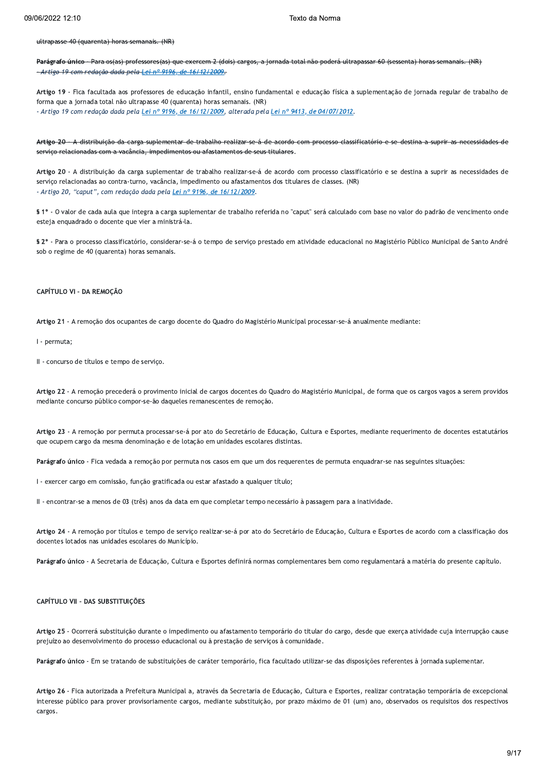#### ultrapasse 40 (quarenta) horas semanais. (NR)

Parágrafo único Para os(as) professores(as) que exercem 2 (dois) cargos, a jornada total não poderá ultrapassar 60 (sessenta) horas semanais. (NR) <del>- Artigo 19 com redação dada pela <u>Lei nº 9196, de 16/12/2009</u>.</del>

Artigo 19 - Fica facultada aos professores de educação infantil, ensino fundamental e educação física a suplementação de jornada regular de trabalho de forma que a jornada total não ultrapasse 40 (quarenta) horas semanais. (NR) - Artigo 19 com redação dada pela Lei nº 9196, de 16/12/2009, alterada pela Lei nº 9413, de 04/07/2012.

Artigo 20 - A distribuição da carga suplementar de trabalho realizar-se-á de acordo com processo classificatório e se destina a suprir as necessidades de serviço relacionadas com a vacância, impedimentos ou afastamentos de seus titulares.

Artigo 20 - A distribuição da carga suplementar de trabalho realizar-se-á de acordo com processo classificatório e se destina a suprir as necessidades de serviço relacionadas ao contra-turno, vacância, impedimento ou afastamentos dos titulares de classes. (NR) - Artigo 20, "caput", com redação dada pela Lei nº 9196, de 16/12/2009.

§ 1º - O valor de cada aula que integra a carga suplementar de trabalho referida no "caput" será calculado com base no valor do padrão de vencimento onde esteja enquadrado o docente que vier a ministrá-la.

§ 2º - Para o processo classificatório, considerar-se-á o tempo de serviço prestado em atividade educacional no Magistério Público Municipal de Santo André sob o regime de 40 (quarenta) horas semanais.

# CAPÍTULO VI - DA REMOÇÃO

Artigo 21 - A remoção dos ocupantes de cargo docente do Quadro do Magistério Municipal processar-se-á anualmente mediante:

I - permuta;

II - concurso de títulos e tempo de serviço.

Artigo 22 - A remoção precederá o provimento inicial de cargos docentes do Quadro do Magistério Municipal, de forma que os cargos vagos a serem providos mediante concurso público compor-se-ão daqueles remanescentes de remoção.

Artigo 23 - A remoção por permuta processar-se-á por ato do Secretário de Educação, Cultura e Esportes, mediante requerimento de docentes estatutários que ocupem cargo da mesma denominação e de lotação em unidades escolares distintas.

Parágrafo único - Fica vedada a remoção por permuta nos casos em que um dos requerentes de permuta enquadrar-se nas seguintes situações:

I - exercer cargo em comissão, função gratificada ou estar afastado a qualquer título;

II - encontrar-se a menos de 03 (três) anos da data em que completar tempo necessário à passagem para a inatividade.

Artigo 24 - A remoção por títulos e tempo de serviço realizar-se-á por ato do Secretário de Educação, Cultura e Esportes de acordo com a classificação dos docentes lotados nas unidades escolares do Município.

Parágrafo único - A Secretaria de Educação, Cultura e Esportes definirá normas complementares bem como regulamentará a matéria do presente capítulo.

# CAPÍTULO VII - DAS SUBSTITUIÇÕES

Artigo 25 - Ocorrerá substituição durante o impedimento ou afastamento temporário do titular do cargo, desde que exerça atividade cuja interrupção cause prejuízo ao desenvolvimento do processo educacional ou à prestação de serviços à comunidade.

Parágrafo único - Em se tratando de substituições de caráter temporário, fica facultado utilizar-se das disposições referentes à jornada suplementar.

Artigo 26 - Fica autorizada a Prefeitura Municipal a, através da Secretaria de Educação, Cultura e Esportes, realizar contratação temporária de excepcional interesse público para prover provisoriamente cargos, mediante substituição, por prazo máximo de 01 (um) ano, observados os requisitos dos respectivos cargos.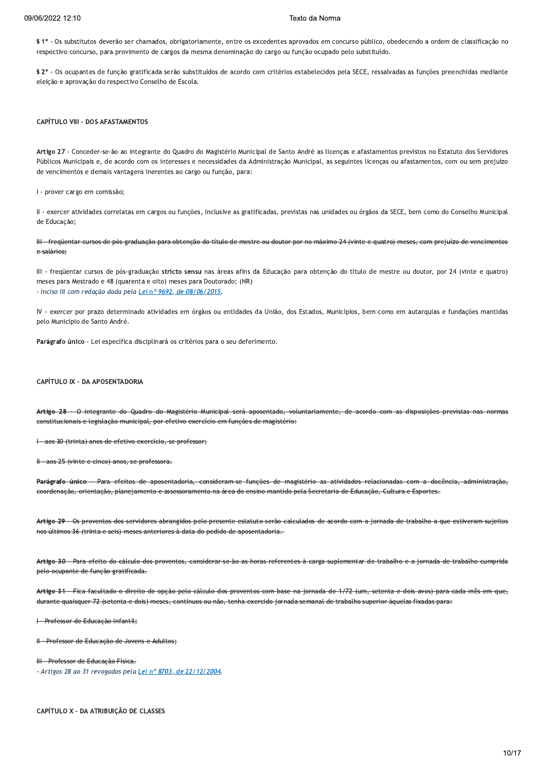§ 1º - Os substitutos deverão ser chamados, obrigatoriamente, entre os excedentes aprovados em concurso público, obedecendo a ordem de classificação no respectivo concurso, para provimento de cargos da mesma denominação do cargo ou função ocupado pelo substituído.

§ 2º - Os ocupantes de função gratificada serão substituídos de acordo com critérios estabelecidos pela SECE, ressalvadas as funções preenchidas mediante eleição e aprovação do respectivo Conselho de Escola.

# **CAPÍTULO VIII - DOS AFASTAMENTOS**

Artigo 27 - Conceder-se-ão ao integrante do Quadro do Magistério Municipal de Santo André as licenças e afastamentos previstos no Estatuto dos Servidores Públicos Municipais e, de acordo com os interesses e necessidades da Administração Municipal, as seguintes licenças ou afastamentos, com ou sem prejuízo de vencimentos e demais vantagens inerentes ao cargo ou função, para:

I - prover cargo em comissão;

II - exercer atividades correlatas em cargos ou funções, inclusive as gratificadas, previstas nas unidades ou órgãos da SECE, bem como do Conselho Municipal de Educação:

III freqüentar cursos de pós graduação para obtenção do título de mestre ou doutor por no máximo 24 (vinte e quatro) meses, com prejuízo de vencimentos e salários:

III - freqüentar cursos de pós-graduação stricto sensu nas áreas afins da Educação para obtenção do título de mestre ou doutor, por 24 (vinte e quatro) meses para Mestrado e 48 (quarenta e oito) meses para Doutorado; (NR) - Inciso III com redação dada pela Lei nº 9692, de 08/06/2015.

IV - exercer por prazo determinado atividades em órgãos ou entidades da União, dos Estados, Municípios, bem como em autarquias e fundações mantidas pelo Município de Santo André.

Parágrafo único - Lei específica disciplinará os critérios para o seu deferimento.

# CAPÍTULO IX - DA APOSENTADORIA

Artigo 28 O integrante do Quadro do Magistério Municipal será aposentado, voluntariamente, de acordo com as disposições previstas nas normas constitucionais e legislação municipal, por efetivo exercício em funções de magistério:

aos 30 (trinta) anos de efetivo exercício, se professor;

H - aos 25 (vinte e cinco) anos, se professora.

Parágrafo único Para efeitos de aposentadoria, consideram-se funções de magistério as atividades relacionadas com a docência, administração, coordenação, orientação, planejamento e assessoramento na área do ensino mantido pela Secretaria de Educação, Cultura e Esportes.

Artigo 29 - Os proventos dos servidores abrangidos pelo presente estatuto serão calculados de acordo com a jornada de trabalho a que estiveram sujeitos nos últimos 36 (trinta e seis) meses anteriores à data do pedido de aposentadoria.

Artigo 30 - Para efeito do cálculo dos proventos, considerar-se-ão as horas referentes à carga suplementar de trabalho e a jornada de trabalho cumprida pelo ocupante de função gratificada.

Artigo 31 - Fica facultado o direito de opção pelo cálculo dos proventos com base na jornada de 1/72 (um, setenta e dois avos) para cada mês em que, durante quaisquer 72 (setenta e dois) meses, contínuos ou não, tenha exercido jornada semanal de trabalho superior àquelas fixadas para:

I Professor de Educação Infantil;

H - Professor de Educação de Jovens e Adultos:

III - Professor de Educação Física. - Artigos 28 ao 31 revogados pela Lei nº 8703, de 22/12/2004.

CAPÍTULO X - DA ATRIBUIÇÃO DE CLASSES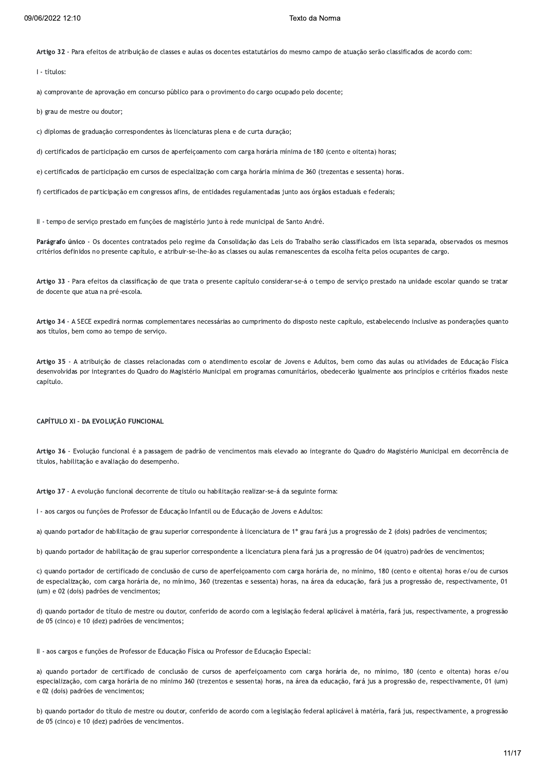Artigo 32 - Para efeitos de atribuição de classes e aulas os docentes estatutários do mesmo campo de atuação serão classificados de acordo com:

I - títulos:

a) comprovante de aprovação em concurso público para o provimento do cargo ocupado pelo docente;

b) grau de mestre ou doutor;

c) diplomas de graduação correspondentes às licenciaturas plena e de curta duração:

d) certificados de participação em cursos de aperfeiçoamento com carga horária mínima de 180 (cento e oitenta) horas;

e) certificados de participação em cursos de especialização com carga horária mínima de 360 (trezentas e sessenta) horas.

f) certificados de participação em congressos afins, de entidades regulamentadas junto aos órgãos estaduais e federais;

Il - tempo de servico prestado em funcões de magistério junto à rede municipal de Santo André.

Parágrafo único - Os docentes contratados pelo regime da Consolidação das Leis do Trabalho serão classificados em lista separada, observados os mesmos critérios definidos no presente capítulo, e atribuir-se-lhe-ão as classes ou aulas remanescentes da escolha feita pelos ocupantes de cargo.

Artigo 33 - Para efeitos da classificação de que trata o presente capítulo considerar-se-á o tempo de serviço prestado na unidade escolar quando se tratar de docente que atua na pré-escola.

Artigo 34 - A SECE expedirá normas complementares necessárias ao cumprimento do disposto neste capítulo, estabelecendo inclusive as ponderações quanto aos títulos, bem como ao tempo de serviço.

Artigo 35 - A atribuição de classes relacionadas com o atendimento escolar de Jovens e Adultos, bem como das aulas ou atividades de Educação Física desenvolvidas por integrantes do Quadro do Magistério Municipal em programas comunitários, obedecerão igualmente aos princípios e critérios fixados neste capítulo.

# CAPÍTULO XI - DA EVOLUÇÃO FUNCIONAL

Artigo 36 - Evolução funcional é a passagem de padrão de vencimentos mais elevado ao integrante do Quadro do Magistério Municipal em decorrência de títulos, habilitação e avaliação do desempenho.

Artigo 37 - A evolução funcional decorrente de título ou habilitação realizar-se-á da seguinte forma:

I - aos cargos ou funções de Professor de Educação Infantil ou de Educação de Jovens e Adultos:

a) quando portador de habilitação de grau superior correspondente à licenciatura de 1º grau fará jus a progressão de 2 (dois) padrões de vencimentos;

b) quando portador de habilitação de grau superior correspondente a licenciatura plena fará jus a progressão de 04 (quatro) padrões de vencimentos;

c) quando portador de certificado de conclusão de curso de aperfeicoamento com carga horária de, no mínimo, 180 (cento e oitenta) horas e/ou de cursos de especialização, com carga horária de, no mínimo, 360 (trezentas e sessenta) horas, na área da educação, fará jus a progressão de, respectivamente, 01 (um) e 02 (dois) padrões de vencimentos;

d) quando portador de título de mestre ou doutor, conferido de acordo com a legislação federal aplicável à matéria, fará jus, respectivamente, a progressão de 05 (cinco) e 10 (dez) padrões de vencimentos;

II - aos cargos e funcões de Professor de Educação Física ou Professor de Educação Especial:

a) quando portador de certificado de conclusão de cursos de aperfeiçoamento com carga horária de, no mínimo, 180 (cento e oitenta) horas e/ou especialização, com carga horária de no mínimo 360 (trezentos e sessenta) horas, na área da educação, fará jus a progressão de, respectivamente, 01 (um) e 02 (dois) padrões de vencimentos;

b) quando portador do título de mestre ou doutor, conferido de acordo com a legislação federal aplicável à matéria, fará jus, respectivamente, a progressão de 05 (cinco) e 10 (dez) padrões de vencimentos.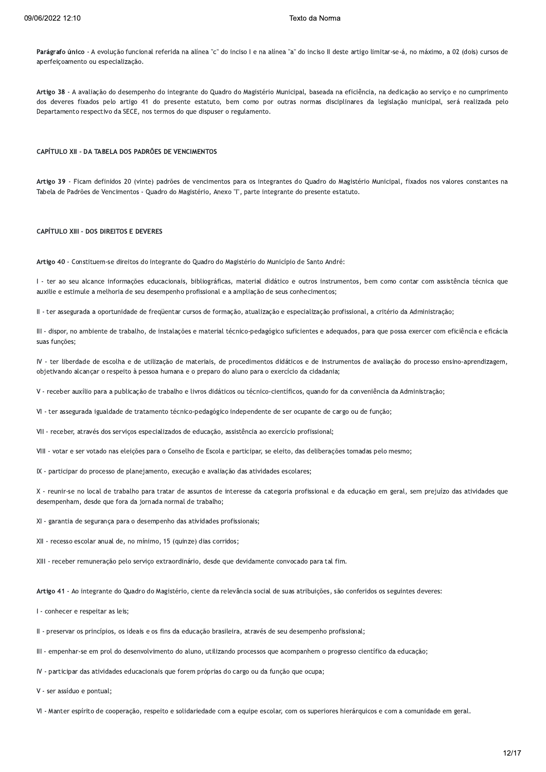Parágrafo único - A evolução funcional referida na alínea "c" do inciso I e na alínea "a" do inciso II deste artigo limitar-se-á, no máximo, a 02 (dois) cursos de aperfeiçoamento ou especialização.

Artigo 38 - A avaliação do desempenho do integrante do Quadro do Magistério Municipal, baseada na eficiência, na dedicação ao serviço e no cumprimento dos deveres fixados pelo artigo 41 do presente estatuto, bem como por outras normas disciplinares da legislação municipal, será realizada pelo Departamento respectivo da SECE, nos termos do que dispuser o regulamento.

#### CAPÍTULO XII - DA TABELA DOS PADRÕES DE VENCIMENTOS

Artigo 39 - Ficam definidos 20 (vinte) padrões de vencimentos para os integrantes do Quadro do Magistério Municipal, fixados nos valores constantes na Tabela de Padrões de Vencimentos - Quadro do Magistério, Anexo "l", parte integrante do presente estatuto.

#### **CAPÍTULO XIII - DOS DIREITOS E DEVERES**

Artigo 40 - Constituem-se direitos do integrante do Quadro do Magistério do Município de Santo André:

I - ter ao seu alcance informações educacionais, bibliográficas, material didático e outros instrumentos, bem como contar com assistência técnica que auxilie e estimule a melhoria de seu desempenho profissional e a ampliação de seus conhecimentos:

II - ter assegurada a oportunidade de fregüentar cursos de formação, atualização e especialização profissional, a critério da Administração;

III - dispor, no ambiente de trabalho, de instalações e material técnico-pedagógico suficientes e adequados, para que possa exercer com eficiência e eficácia suas funcões:

IV - ter liberdade de escolha e de utilização de materiais, de procedimentos didáticos e de instrumentos de avaliação do processo ensino-aprendizagem, objetivando alcançar o respeito à pessoa humana e o preparo do aluno para o exercício da cidadania;

V - receber auxílio para a publicação de trabalho e livros didáticos ou técnico-científicos, quando for da conveniência da Administração;

VI - ter assegurada igualdade de tratamento técnico-pedagógico independente de ser ocupante de cargo ou de função;

VII - receber, através dos serviços especializados de educação, assistência ao exercício profissional;

VIII - votar e ser votado nas eleições para o Conselho de Escola e participar, se eleito, das deliberações tomadas pelo mesmo;

IX - participar do processo de planejamento, execução e avaliação das atividades escolares;

X - reunir-se no local de trabalho para tratar de assuntos de interesse da categoria profissional e da educação em geral, sem prejuízo das atividades que desempenham, desde que fora da jornada normal de trabalho;

XI - garantia de segurança para o desempenho das atividades profissionais;

XII - recesso escolar anual de, no mínimo, 15 (quinze) dias corridos;

XIII - receber remuneração pelo servico extraordinário, desde que devidamente convocado para tal fim.

Artigo 41 - Ao integrante do Quadro do Magistério, ciente da relevância social de suas atribuições, são conferidos os seguintes deveres:

I - conhecer e respeitar as leis;

- II preservar os princípios, os ideais e os fins da educação brasileira, através de seu desempenho profissional;
- III empenhar-se em prol do desenvolvimento do aluno, utilizando processos que acompanhem o progresso científico da educação;
- IV participar das atividades educacionais que forem próprias do cargo ou da função que ocupa;
- V ser assíduo e pontual:
- VI Manter espírito de cooperação, respeito e solidariedade com a equipe escolar, com os superiores hierárquicos e com a comunidade em geral.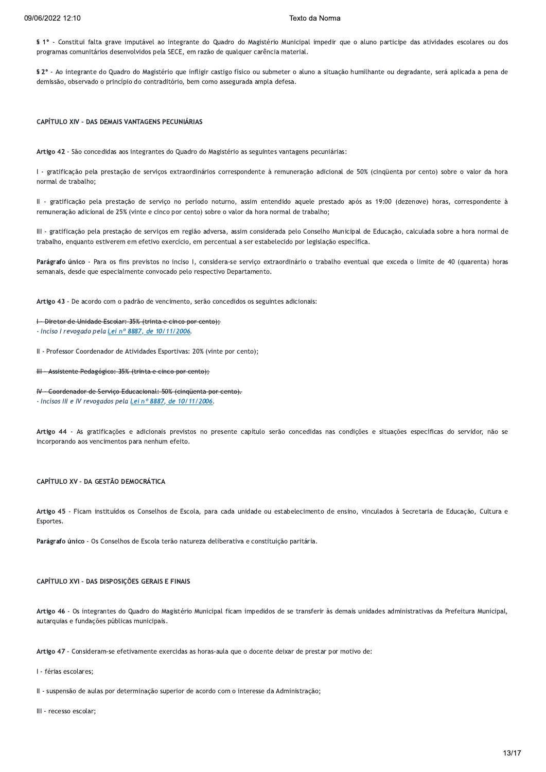§ 1º - Constitui falta grave imputável ao integrante do Quadro do Magistério Municipal impedir que o aluno participe das atividades escolares ou dos programas comunitários desenvolvidos pela SECE, em razão de qualquer carência material.

§ 2º - Ao integrante do Quadro do Magistério que infligir castigo físico ou submeter o aluno a situação humilhante ou degradante, será aplicada a pena de demissão, observado o princípio do contraditório, bem como assegurada ampla defesa.

CAPÍTULO XIV - DAS DEMAIS VANTAGENS PECUNIÁRIAS

Artigo 42 - São concedidas aos integrantes do Quadro do Magistério as seguintes vantagens pecuniárias:

I - gratificação pela prestação de serviços extraordinários correspondente à remuneração adicional de 50% (cinqüenta por cento) sobre o valor da hora normal de trabalho:

Il - gratificação pela prestação de serviço no período noturno, assim entendido aquele prestado após as 19:00 (dezenove) horas, correspondente à remuneração adicional de 25% (vinte e cinco por cento) sobre o valor da hora normal de trabalho;

III - gratificação pela prestação de serviços em região adversa, assim considerada pelo Conselho Municipal de Educação, calculada sobre a hora normal de trabalho, enquanto estiverem em efetivo exercício, em percentual a ser estabelecido por legislação específica.

Parágrafo único - Para os fins previstos no inciso I, considera-se serviço extraordinário o trabalho eventual que exceda o limite de 40 (quarenta) horas semanais, desde que especialmente convocado pelo respectivo Departamento.

Artigo 43 - De acordo com o padrão de vencimento, serão concedidos os seguintes adicionais:

I - Diretor de Unidade Escolar: 35% (trinta e cinco por cento);

- Inciso I revogado pela Lei nº 8887, de 10/11/2006.

II - Professor Coordenador de Atividades Esportivas: 20% (vinte por cento);

III - Assistente Pedagógico: 35% (trinta e cinco por cento);

IV - Coordenador de Serviço Educacional: 50% (cinqüenta por cento). - Incisos III e IV revogados pela Lei nº 8887, de 10/11/2006.

Artigo 44 - As gratificações e adicionais previstos no presente capítulo serão concedidas nas condições e situações específicas do servidor, não se incorporando aos vencimentos para nenhum efeito.

# CAPÍTULO XV - DA GESTÃO DEMOCRÁTICA

Artigo 45 - Ficam instituídos os Conselhos de Escola, para cada unidade ou estabelecimento de ensino, vinculados à Secretaria de Educação, Cultura e Esportes.

Parágrafo único - Os Conselhos de Escola terão natureza deliberativa e constituição paritária.

# CAPÍTULO XVI - DAS DISPOSIÇÕES GERAIS E FINAIS

Artigo 46 - Os integrantes do Quadro do Magistério Municipal ficam impedidos de se transferir às demais unidades administrativas da Prefeitura Municipal, autarquias e fundações públicas municipais.

Artigo 47 - Consideram-se efetivamente exercidas as horas-aula que o docente deixar de prestar por motivo de:

I - férias escolares:

II - suspensão de aulas por determinação superior de acordo com o interesse da Administração;

III - recesso escolar: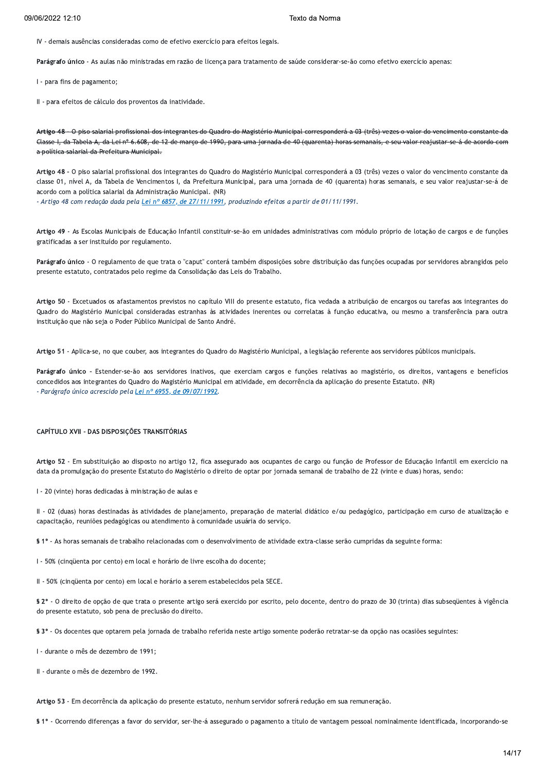IV - demais ausências consideradas como de efetivo exercício para efeitos legais.

Parágrafo único - As aulas não ministradas em razão de licença para tratamento de saúde considerar-se-ão como efetivo exercício apenas:

I - para fins de pagamento;

II - para efeitos de cálculo dos proventos da inatividade.

O piso salarial profissional dos integrantes do Quadro do Magistério Municipal corresponderá a 03 (três) vezes o valor do vencimento constante da Artigo 48 Classe I, da Tabela A, da Lei nº 6.608, de 12 de março de 1990, para uma jornada de 40 (quarenta) horas semanais, e seu valor reajustar-se á de acordo com a política salarial da Prefeitura Municipal.

Artigo 48 - O piso salarial profissional dos integrantes do Quadro do Magistério Municipal corresponderá a 03 (três) vezes o valor do vencimento constante da classe 01, nível A, da Tabela de Vencimentos I, da Prefeitura Municipal, para uma jornada de 40 (quarenta) horas semanais, e seu valor reajustar-se-á de acordo com a política salarial da Administração Municipal. (NR)

- Artigo 48 com redação dada pela Lei nº 6857, de 27/11/1991, produzindo efeitos a partir de 01/11/1991.

Artigo 49 - As Escolas Municipais de Educação Infantil constituir-se-ão em unidades administrativas com módulo próprio de lotação de cargos e de funções gratificadas a ser instituído por regulamento.

Parágrafo único - O regulamento de que trata o "caput" conterá também disposições sobre distribuição das funções ocupadas por servidores abrangidos pelo presente estatuto, contratados pelo regime da Consolidação das Leis do Trabalho.

Artigo 50 - Excetuados os afastamentos previstos no capítulo VIII do presente estatuto, fica vedada a atribuição de encargos ou tarefas aos integrantes do Quadro do Magistério Municipal consideradas estranhas às atividades inerentes ou correlatas à função educativa, ou mesmo a transferência para outra instituição que não seja o Poder Público Municipal de Santo André.

Artigo 51 - Aplica-se, no que couber, aos integrantes do Quadro do Magistério Municipal, a legislação referente aos servidores públicos municipais.

Parágrafo único - Estender-se-ão aos servidores inativos, que exerciam cargos e funções relativas ao magistério, os direitos, vantagens e benefícios concedidos aos integrantes do Quadro do Magistério Municipal em atividade, em decorrência da aplicação do presente Estatuto. (NR) - Parágrafo único acrescido pela Lei nº 6955, de 09/07/1992.

#### CAPÍTULO XVII - DAS DISPOSIÇÕES TRANSITÓRIAS

Artigo 52 - Em substituição ao disposto no artigo 12, fica assegurado aos ocupantes de cargo ou função de Professor de Educação Infantil em exercício na data da promulgação do presente Estatuto do Magistério o direito de optar por jornada semanal de trabalho de 22 (vinte e duas) horas, sendo:

I - 20 (vinte) horas dedicadas à ministração de aulas e

II - 02 (duas) horas destinadas às atividades de planejamento, preparação de material didático e/ou pedagógico, participação em curso de atualização e capacitação, reuniões pedagógicas ou atendimento à comunidade usuária do serviço.

\$ 1º - As horas semanais de trabalho relacionadas com o desenvolvimento de atividade extra-classe serão cumpridas da seguinte forma:

I - 50% (cinqüenta por cento) em local e horário de livre escolha do docente;

II - 50% (cinqüenta por cento) em local e horário a serem estabelecidos pela SECE.

§ 2º - O direito de opção de que trata o presente artigo será exercido por escrito, pelo docente, dentro do prazo de 30 (trinta) dias subseqüentes à vigência do presente estatuto, sob pena de preclusão do direito.

§ 3º - Os docentes que optarem pela jornada de trabalho referida neste artigo somente poderão retratar-se da opção nas ocasiões seguintes:

I - durante o mês de dezembro de 1991;

II - durante o mês de dezembro de 1992.

Artigo 53 - Em decorrência da aplicação do presente estatuto, nenhum servidor sofrerá redução em sua remuneração.

§ 1º - Ocorrendo diferenças a favor do servidor, ser-lhe-á assegurado o pagamento a título de vantagem pessoal nominalmente identificada, incorporando-se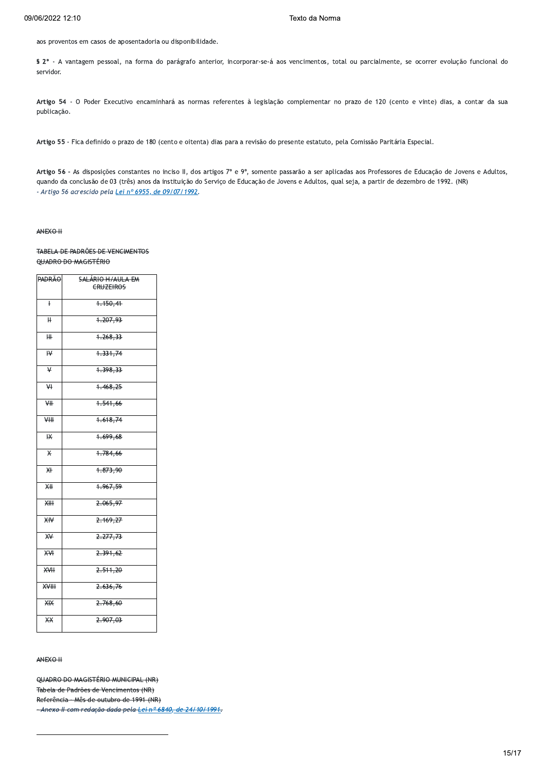aos proventos em casos de aposentadoria ou disponibilidade.

§ 2° - A vantagem pessoal, na forma do parágrafo anterior, incorporar-se-á aos vencimentos, total ou parcialmente, se ocorrer evolução funcional do servidor.

Artigo 54 - O Poder Executivo encaminhará as normas referentes à legislação complementar no prazo de 120 (cento e vinte) dias, a contar da sua publicação.

Artigo 55 - Fica definido o prazo de 180 (cento e oitenta) dias para a revisão do presente estatuto, pela Comissão Paritária Especial.

Artigo 56 - As disposições constantes no inciso II, dos artigos 7º e 9º, somente passarão a ser aplicadas aos Professores de Educação de Jovens e Adultos, quando da conclusão de 03 (três) anos da instituição do Serviço de Educação de Jovens e Adultos, qual seja, a partir de dezembro de 1992. (NR) - Artigo 56 acrescido pela Lei nº 6955, de 09/07/1992.

#### ANEXO H

# TABELA DE PADRÕES DE VENCIMENTOS QUADRO DO MAGISTÉRIO

| <del>PADRÃO</del>       | SALÁRIO H/AULA EM |
|-------------------------|-------------------|
|                         | <b>CRUZEIROS</b>  |
|                         |                   |
| ŧ                       | 4.150,41          |
|                         |                   |
|                         |                   |
| H                       | 4.207,93          |
|                         |                   |
|                         |                   |
| ₩                       | 4.268,33          |
|                         |                   |
| $\overline{\mathsf{R}}$ | 4.331,74          |
|                         |                   |
|                         |                   |
| $\overline{\mathsf{v}}$ | 4.398,33          |
|                         |                   |
|                         |                   |
| ₩                       | 1.468,25          |
|                         |                   |
| ₩                       | 1.541,66          |
|                         |                   |
|                         |                   |
| ₩H                      | 1.618,74          |
|                         |                   |
| $H\star$                | 4.699,68          |
|                         |                   |
|                         |                   |
| $\star$                 | 1.784,66          |
|                         |                   |
|                         |                   |
| $\overline{\mathsf{H}}$ | 4.873,90          |
|                         |                   |
| <del>ХН</del>           | 1.967,59          |
|                         |                   |
|                         |                   |
| XH                      | 2.065,97          |
|                         |                   |
| X₩                      | 2.169,27          |
|                         |                   |
|                         |                   |
| $\overline{\mathsf{H}}$ | 2.277,73          |
|                         |                   |
|                         |                   |
| XVI                     | 2.391,62          |
|                         |                   |
| <b>XVH</b>              | 2.511,20          |
|                         |                   |
|                         |                   |
| $2$                     | 2.636,76          |
|                         |                   |
| <b>XIX</b>              | 2.768,60          |
|                         |                   |
|                         |                   |
| ₩                       | 2.907,03          |
|                         |                   |
|                         |                   |

ANFXO H

OUADRO DO MAGISTÉRIO MUNICIPAL (NR) Tabela de Padrões de Vencimentos (NR) Referência - Mês de outubro de 1991 (NR) Anexo II com redação dada pela Lei nº 6840, de 24/10/1991.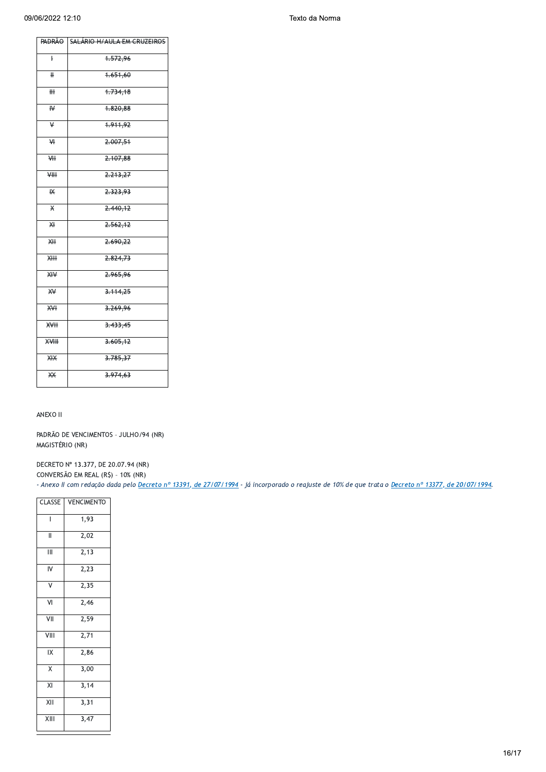| <b>VENCIMENTO</b> |
|-------------------|
| 1,93              |
| 2,02              |
| 2,13              |
| $\overline{2,}23$ |
| 2,35              |
| 2,46              |
| 2,59              |
| 2,71              |
| 2,86              |
| 3,00              |
| 3,14              |
| 3,31              |
| 3,47              |
|                   |

ANEXO II

MAGISTÉRIO (NR)

- Anexo II com redação dada pelo Decreto nº 13391, de 27/07/1994 - já incorporado o reajuste de 10% de que trata o Decreto nº 13377, de 20/07/1994.

DECRETO Nº 13.377, DE 20.07.94 (NR) CONVERSÃO EM REAL (R\$) - 10% (NR)

 $\overline{+}$ 1.651,60  $\textcolor{red}{\textbf{H}\textbf{H}}$ 4.734,18  $\overline{\mathsf{R}}$ 4.820,88 4.911,92  $\overline{\mathbf{y}}$  $\overline{+}$ 2.007,51 2.107,88  $\overline{H}$  $\Psi$ 2.213,27  $\overline{\mathbf{R}}$ 2.323,93 2.440,12  $\overline{\mathsf{X}}$ ₩  $2.562, 12$ 2.690,22 羊  $\overline{X}$ 2.824,73  $X^2 + Y$ 2.965,96  $\overline{X}$  $3.114,25$  $rac{1}{2}$ 3.269,96  $X + Y$ 3.433,45  $3.605, 12$ **XVIII**  $X/X$  $3.785, 37$ 3.974,63 类

PADRÃO DE VENCIMENTOS - JULHO/94 (NR)

**SALÁRIO H/AULA EM CRUZEIROS** 4.572,96

**PADRÃO** 

 $\overline{+}$